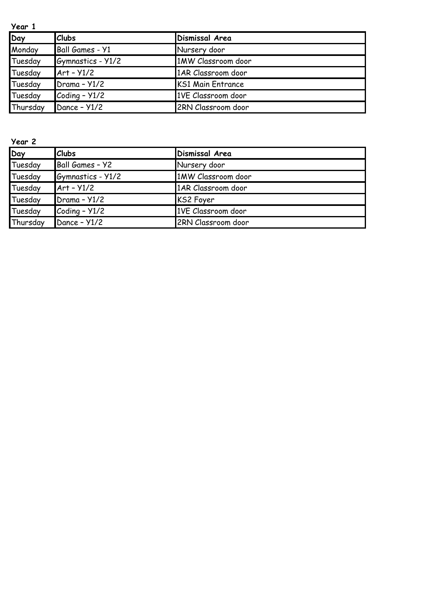| Year 1   |                   |                          |  |  |
|----------|-------------------|--------------------------|--|--|
| Day      | <b>Clubs</b>      | Dismissal Area           |  |  |
| Monday   | Ball Games - Y1   | Nursery door             |  |  |
| Tuesday  | Gymnastics - Y1/2 | 1MW Classroom door       |  |  |
| Tuesday  | $Art - Y1/2$      | 1AR Classroom door       |  |  |
| Tuesday  | Drama - Y1/2      | <b>KS1 Main Entrance</b> |  |  |
| Tuesday  | Coding - Y1/2     | 1VE Classroom door       |  |  |
| Thursday | Dance - Y1/2      | 2RN Classroom door       |  |  |

**Year 2 Day Clubs Dismissal Area** Tuesday Ball Games – Y2 Nursery door Tuesday Gymnastics - Y1/2 1MW Classroom door Tuesday Art – Y1/2 1AR Classroom door Tuesday Drama - Y1/2 KS2 Foyer Tuesday Coding - Y1/2 1VE Classroom door Thursday Dance – Y1/2 2RN Classroom door